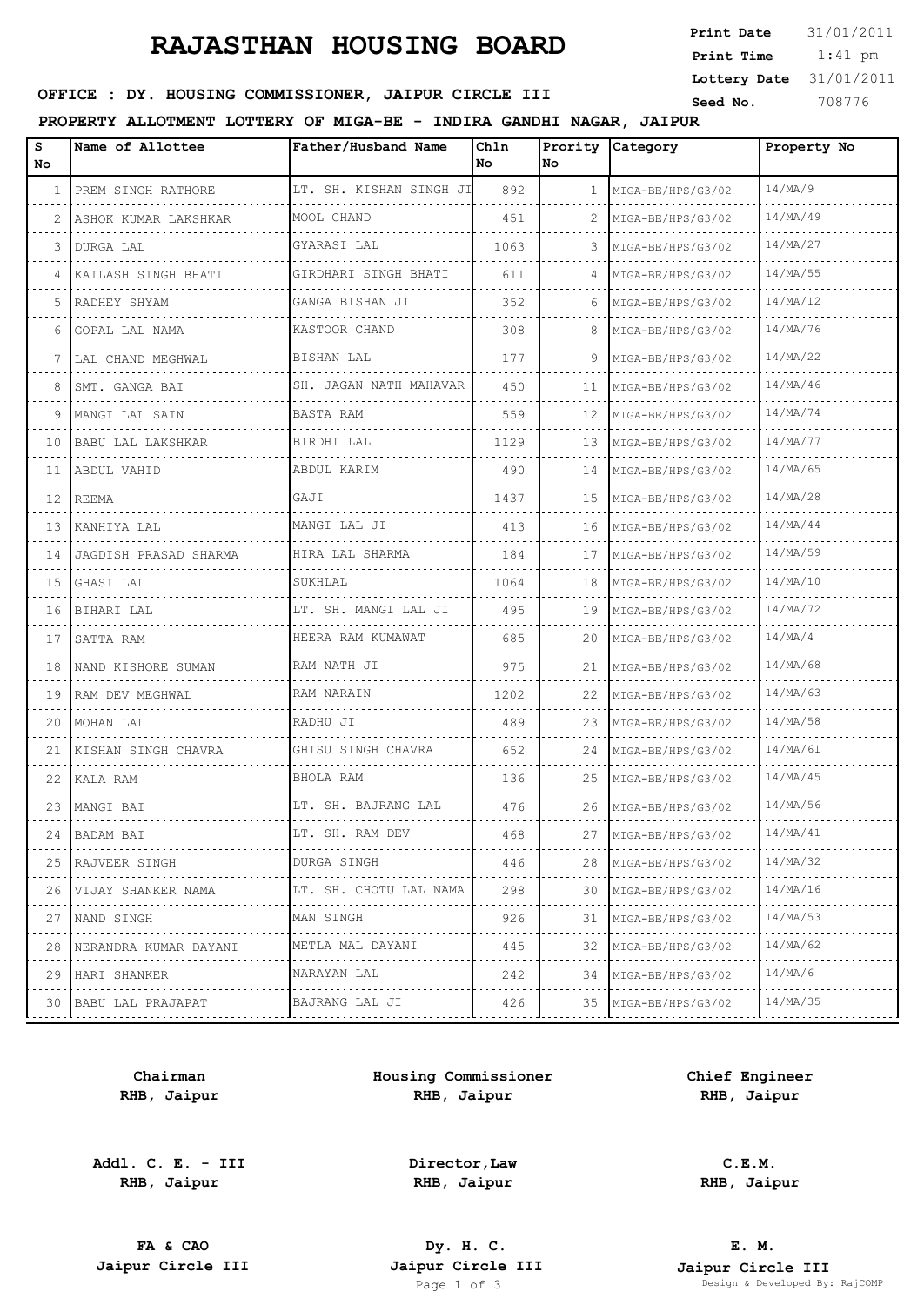## **RAJASTHAN HOUSING BOARD**

 1:41 pm **Print Date**  $31/01/2011$ **Print Time Lottery Date** 31/01/2011

### **SEED OFFICE : DY. HOUSING COMMISSIONER, JAIPUR CIRCLE III** Seed No. 308776

#### **PROPERTY ALLOTMENT LOTTERY OF MIGA-BE - INDIRA GANDHI NAGAR, JAIPUR**

| s<br>No      | Name of Allottee       | Father/Husband Name                  | Chln<br>No | Prority<br>No. | Category               | Property No   |
|--------------|------------------------|--------------------------------------|------------|----------------|------------------------|---------------|
| $\mathbf{1}$ | PREM SINGH RATHORE     | LT. SH. KISHAN SINGH JI              | 892        | $\mathbf{1}$   | MIGA-BE/HPS/G3/02      | 14/MA/9       |
| 2            | ASHOK KUMAR LAKSHKAR   | MOOL CHAND                           | 451        | 2              | MIGA-BE/HPS/G3/02      | 14/MA/49      |
| 3            | DURGA LAL              | GYARASI LAL                          | 1063       | 3              | MIGA-BE/HPS/G3/02      | 14/MA/27      |
| 4            | KAILASH SINGH BHATI    | GIRDHARI SINGH BHATI                 | 611        | 4              | MIGA-BE/HPS/G3/02      | 14/MA/55      |
| 5            | RADHEY SHYAM           | GANGA BISHAN JI<br>dia dia dia dia d | 352        | 6              | MIGA-BE/HPS/G3/02      | 14/MA/12      |
| 6            | GOPAL LAL NAMA<br>.    | KASTOOR CHAND                        | 308        | 8              | MIGA-BE/HPS/G3/02      | 14/MA/76      |
| 7            | LAL CHAND MEGHWAL<br>. | BISHAN LAL                           | 177        | 9              | MIGA-BE/HPS/G3/02      | 14/MA/22      |
| 8            | SMT. GANGA BAI         | SH. JAGAN NATH MAHAVAR               | 450        | 11             | MIGA-BE/HPS/G3/02      | 14/MA/46      |
| 9            | MANGI LAL SAIN         | BASTA RAM                            | 559        | 12             | MIGA-BE/HPS/G3/02      | 14/MA/74      |
| 10           | BABU LAL LAKSHKAR      | BIRDHI LAL                           | 1129       | 13             | MIGA-BE/HPS/G3/02      | 14/MA/77      |
| 11           | ABDUL VAHID            | ABDUL KARIM                          | 490        | 14             | MIGA-BE/HPS/G3/02      | 14/MA/65      |
| 12           | REEMA                  | GAJI                                 | 1437       | 15             | MIGA-BE/HPS/G3/02      | 14/MA/28      |
| 13           | KANHIYA LAL            | MANGI LAL JI                         | 413        | 16             | MIGA-BE/HPS/G3/02      | 14/MA/44      |
| 14           | JAGDISH PRASAD SHARMA  | HIRA LAL SHARMA                      | 184        | 17             | MIGA-BE/HPS/G3/02      | 14/MA/59      |
| 15           | GHASI LAL              | SUKHLAL                              | 1064       | 18             | MIGA-BE/HPS/G3/02      | 14/MA/10      |
| 16           | BIHARI LAL             | LT. SH. MANGI LAL JI                 | 495        | 19             | MIGA-BE/HPS/G3/02      | 14/MA/72      |
| 17           | SATTA RAM              | HEERA RAM KUMAWAT                    | 685        | 20             | MIGA-BE/HPS/G3/02      | 14/MA/4       |
| 18           | NAND KISHORE SUMAN     | RAM NATH JI                          | 975        | 21             | MIGA-BE/HPS/G3/02      | 14/MA/68      |
| 19           | RAM DEV MEGHWAL        | RAM NARAIN                           | 1202       | 22             | MIGA-BE/HPS/G3/02      | 14/MA/63      |
| 20           | MOHAN LAL              | RADHU JI                             | 489        | 23             | MIGA-BE/HPS/G3/02      | 14/MA/58      |
| 21           | KISHAN SINGH CHAVRA    | GHISU SINGH CHAVRA                   | 652        | 24             | MIGA-BE/HPS/G3/02      | 14/MA/61      |
| 22           | KALA RAM               | BHOLA RAM                            | 136        | 25             | MIGA-BE/HPS/G3/02      | 14/MA/45      |
|              | 23   MANGI BAI         | LT. SH. BAJRANG LAL                  | 476        | 26             | MIGA-BE/HPS/G3/02      | 14/MA/56      |
| 24           | BADAM BAI              | LT. SH. RAM DEV                      | 468        | 27             | MIGA-BE/HPS/G3/02      | 14/MA/41      |
| 25           | RAJVEER SINGH<br>.     | DURGA SINGH                          | 446        | 28             | MIGA-BE/HPS/G3/02      | 14/MA/32<br>. |
| 26           | VIJAY SHANKER NAMA     | LT. SH. CHOTU LAL NAMA               | 298        | 30             | MIGA-BE/HPS/G3/02      | 14/MA/16      |
| 27           | NAND SINGH<br>.        | MAN SINGH                            | 926        | 31             | MIGA-BE/HPS/G3/02<br>. | 14/MA/53<br>. |
| 28           | NERANDRA KUMAR DAYANI  | METLA MAL DAYANI                     | 445        | 32             | MIGA-BE/HPS/G3/02      | 14/MA/62      |
| 29           | HARI SHANKER<br>.      | NARAYAN LAL                          | 242        | 34             | MIGA-BE/HPS/G3/02      | 14/MA/6       |
| 30           | BABU LAL PRAJAPAT      | BAJRANG LAL JI                       | 426        | 35             | MIGA-BE/HPS/G3/02      | 14/MA/35      |
|              |                        |                                      |            |                |                        |               |

**Chairman RHB, Jaipur**

**Addl. C. E. - III RHB, Jaipur**

**Housing Commissioner RHB, Jaipur**

**Chief Engineer RHB, Jaipur**

**Director,Law RHB, Jaipur**

**C.E.M. RHB, Jaipur**

**FA & CAO Dy. H. C.**

**E. M. Jaipur Circle III Jaipur Circle III Jaipur Circle III Jaipur Circle III Jaipur Circle III Page 1 of 3 Design & Developed By:** Pesign & Developed By: RajCOMP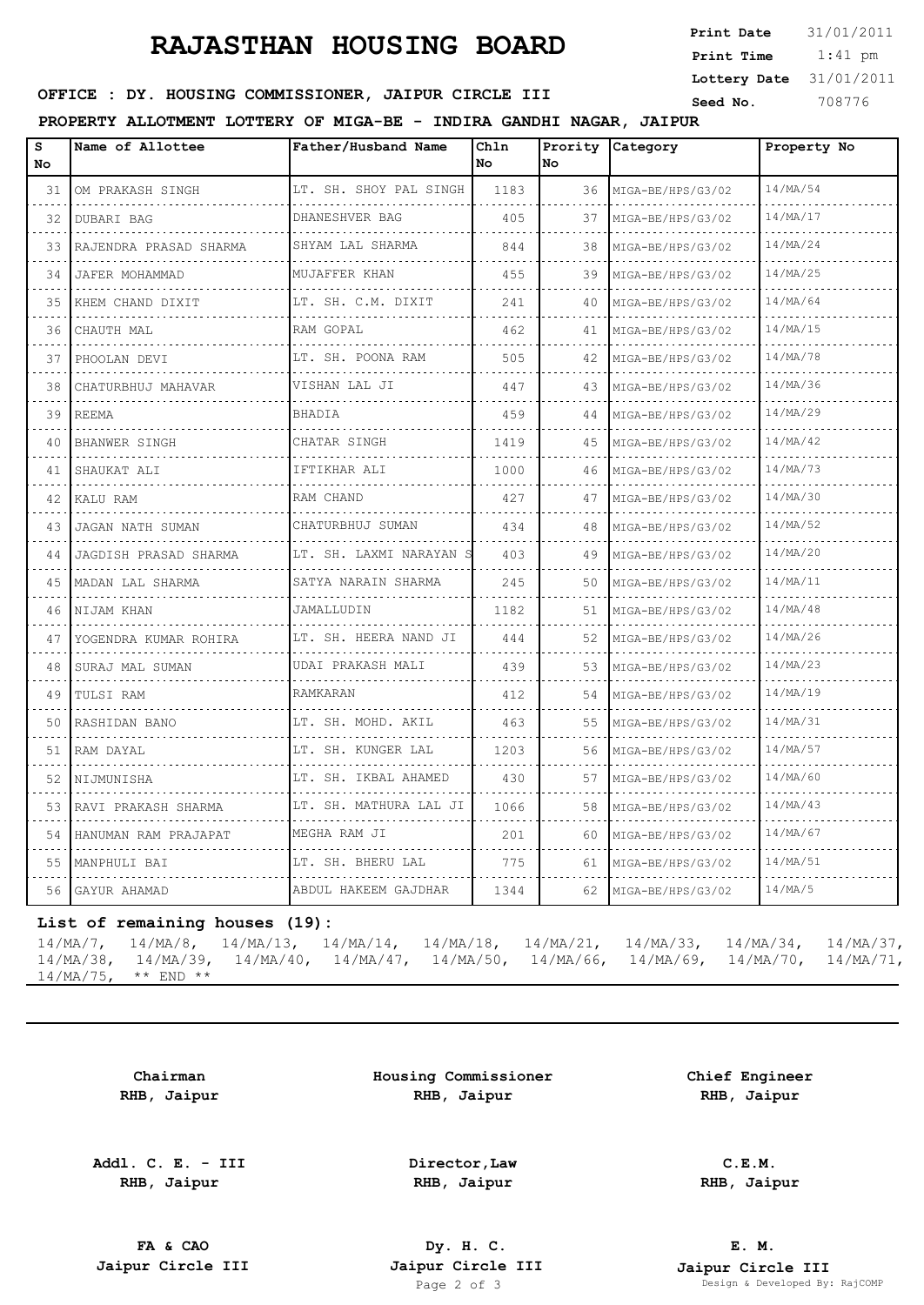# **RAJASTHAN HOUSING BOARD**

| Print Date   | 31/01/2011 |
|--------------|------------|
| Print Time   | $1:41$ pm  |
| Lottery Date | 31/01/2011 |
| Seed No.     | 708776     |

## **SERICE : DY. HOUSING COMMISSIONER, JAIPUR CIRCLE III** Seed No. 308776

## **PROPERTY ALLOTMENT LOTTERY OF MIGA-BE - INDIRA GANDHI NAGAR, JAIPUR**

| $\mathtt{s}$<br>No | Name of Allottee           | Father/Husband Name          | Chln<br>No | No | Prority Category       | Property No   |
|--------------------|----------------------------|------------------------------|------------|----|------------------------|---------------|
| 31                 | OM PRAKASH SINGH           | LT. SH. SHOY PAL SINGH<br>.  | 1183       |    | 36 MIGA-BE/HPS/G3/02   | 14/MA/54      |
|                    | 32   DUBARI BAG            | DHANESHVER BAG               | 405        | 37 | MIGA-BE/HPS/G3/02      | 14/MA/17      |
| 33                 | RAJENDRA PRASAD SHARMA     | SHYAM LAL SHARMA             | 844        | 38 | MIGA-BE/HPS/G3/02<br>. | 14/MA/24      |
| 34                 | JAFER MOHAMMAD             | MUJAFFER KHAN                | 455        | 39 | MIGA-BE/HPS/G3/02      | 14/MA/25<br>. |
| 35                 | KHEM CHAND DIXIT           | LT. SH. C.M. DIXIT           | 241        | 40 | MIGA-BE/HPS/G3/02      | 14/MA/64      |
|                    | 36  СНАUТН МАL             | RAM GOPAL                    | 462        | 41 | MIGA-BE/HPS/G3/02      | 14/MA/15      |
| 37                 | PHOOLAN DEVI               | LT. SH. POONA RAM            | 505        | 42 | MIGA-BE/HPS/G3/02      | 14/MA/78      |
| 38                 | CHATURBHUJ MAHAVAR         | VISHAN LAL JI                | 447        | 43 | MIGA-BE/HPS/G3/02      | 14/MA/36      |
| 39                 | REEMA                      | BHADIA                       | 459        | 44 | MIGA-BE/HPS/G3/02      | 14/MA/29      |
| 40                 | BHANWER SINGH              | CHATAR SINGH                 | 1419       | 45 | MIGA-BE/HPS/G3/02      | 14/MA/42      |
|                    | 41   SHAUKAT ALI           | IFTIKHAR ALI                 | 1000       | 46 | MIGA-BE/HPS/G3/02      | 14/MA/73      |
|                    | 42 KALU RAM                | RAM CHAND                    | 427        | 47 | MIGA-BE/HPS/G3/02      | 14/MA/30      |
| 43                 | JAGAN NATH SUMAN           | CHATURBHUJ SUMAN             | 434        | 48 | MIGA-BE/HPS/G3/02      | 14/MA/52      |
| $\sim$ $\sim$      | 44   JAGDISH PRASAD SHARMA | LT. SH. LAXMI NARAYAN S<br>. | 403        | 49 | MIGA-BE/HPS/G3/02      | 14/MA/20      |
|                    | 45   MADAN LAL SHARMA      | SATYA NARAIN SHARMA          | 245        | 50 | MIGA-BE/HPS/G3/02      | 14/MA/11      |
| 46                 | INIJAM KHAN                | JAMALLUDIN                   | 1182       | 51 | MIGA-BE/HPS/G3/02      | 14/MA/48      |
| 47                 | YOGENDRA KUMAR ROHIRA      | LT. SH. HEERA NAND JI        | 444        | 52 | MIGA-BE/HPS/G3/02      | 14/MA/26      |
| 48                 | SURAJ MAL SUMAN            | UDAI PRAKASH MALI            | 439        | 53 | MIGA-BE/HPS/G3/02      | 14/MA/23      |
| 49                 | TULSI RAM                  | RAMKARAN                     | 412        | 54 | MIGA-BE/HPS/G3/02      | 14/MA/19      |
|                    | 50 RASHIDAN BANO           | LT. SH. MOHD. AKIL           | 463        | 55 | MIGA-BE/HPS/G3/02      | 14/MA/31      |
|                    | 51 RAM DAYAL               | LT. SH. KUNGER LAL           | 1203       | 56 | MIGA-BE/HPS/G3/02      | 14/MA/57      |
| 52                 | NIJMUNISHA                 | LT. SH. IKBAL AHAMED<br>.    | 430        | 57 | MIGA-BE/HPS/G3/02      | 14/MA/60      |
|                    | 53 RAVI PRAKASH SHARMA     | LT. SH. MATHURA LAL JI       | 1066       | 58 | MIGA-BE/HPS/G3/02      | 14/MA/43      |
| 54                 | HANUMAN RAM PRAJAPAT       | MEGHA RAM JI                 | 201        | 60 | MIGA-BE/HPS/G3/02      | 14/MA/67      |
| 55.                | MANPHULI BAI               | LT. SH. BHERU LAL<br>.       | 775        | 61 | MIGA-BE/HPS/G3/02      | 14/MA/51      |
| 56                 | GAYUR AHAMAD               | ABDUL HAKEEM GAJDHAR         | 1344       | 62 | MIGA-BE/HPS/G3/02      | 14/MA/5       |

#### **List of remaining houses (19):**

|                          | $14/\text{MA}/7$ , $14/\text{MA}/8$ , $14/\text{MA}/13$ , $14/\text{MA}/14$ , $14/\text{MA}/18$ , $14/\text{MA}/21$ , $14/\text{MA}/33$ , $14/\text{MA}/34$ , $14/\text{MA}/37$ ,   |  |  |  |
|--------------------------|-------------------------------------------------------------------------------------------------------------------------------------------------------------------------------------|--|--|--|
|                          | $14/\text{MA}/38$ , $14/\text{MA}/39$ , $14/\text{MA}/40$ , $14/\text{MA}/47$ , $14/\text{MA}/50$ , $14/\text{MA}/66$ , $14/\text{MA}/69$ , $14/\text{MA}/70$ , $14/\text{MA}/71$ , |  |  |  |
| $14/MA/75$ , ** $END$ ** |                                                                                                                                                                                     |  |  |  |

**Chairman RHB, Jaipur**

**Addl. C. E. - III RHB, Jaipur**

**Housing Commissioner RHB, Jaipur**

**Chief Engineer RHB, Jaipur**

**Director,Law RHB, Jaipur**

**C.E.M. RHB, Jaipur**

**FA & CAO Dy. H. C.**

**E. M. Jaipur Circle III Jaipur Circle III Jaipur Circle III Jaipur Circle III Jaipur Circle III Page 2 of 3 Developed By:** Pesign & Developed By: RajCOMP